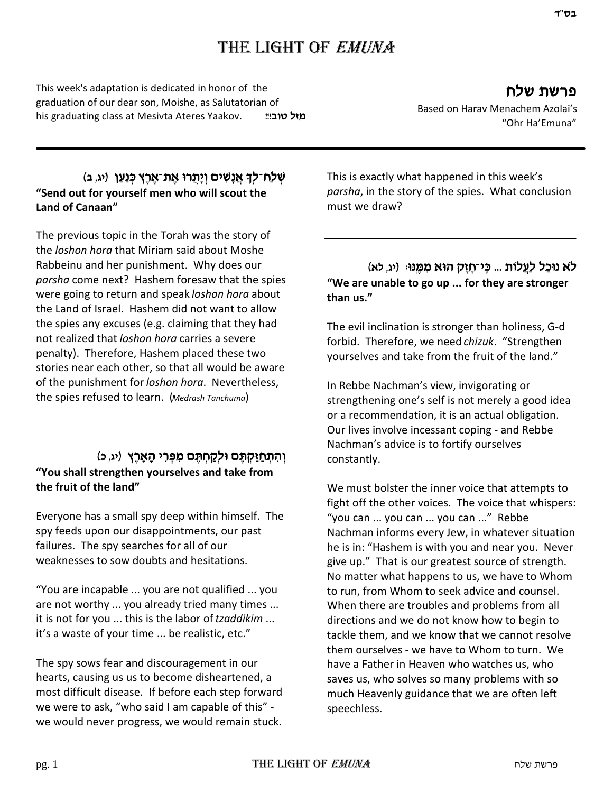This week's adaptation is dedicated in honor of the graduation of our dear son, Moishe, as Salutatorian of his graduating class at Mesivta Ateres Yaakov. **מיל טוב**!!!

# **פרשת שלח**

Based on Harav Menachem Azolai's "Ohr Ha'Emuna"

## **ַ שְׁלַַח־לִךְ אֲנַשִּׁים וְיַתְרוּ אֶת־אֶרֶץ כְּנַעֲן (יג, ב) "Send out for yourself men who will scout the Land of Canaan"**

The previous topic in the Torah was the story of the *loshon hora* that Miriam said about Moshe Rabbeinu and her punishment. Why does our *parsha* come next? Hashem foresaw that the spies were going to return and speak *loshon hora* about the Land of Israel. Hashem did not want to allow the spies any excuses (e.g. claiming that they had not realized that *loshon hora* carries a severe penalty). Therefore, Hashem placed these two stories near each other, so that all would be aware of the punishment for *loshon hora*. Nevertheless, the spies refused to learn. (*Medrash Tanchuma*)

# **(התחזקתם ולקחתם מפרי הארץ (יג כ) "You shall strengthen yourselves and take from the fruit of the land"**

Everyone has a small spy deep within himself. The spy feeds upon our disappointments, our past failures. The spy searches for all of our weaknesses to sow doubts and hesitations.

"You are incapable ... you are not qualified ... you are not worthy ... you already tried many times ... it is not for you ... this is the labor of *tzaddikim* ... it's a waste of your time ... be realistic, etc."

The spy sows fear and discouragement in our hearts, causing us us to become disheartened, a most difficult disease. If before each step forward we were to ask, "who said I am capable of this" we would never progress, we would remain stuck.

This is exactly what happened in this week's *parsha*, in the story of the spies. What conclusion must we draw?

# **(ד'מ נוּכַל לַעֲלוֹת ... כֵּי־חַזֵּק הוּא מִמֵּנוּ: (יג, לא "We are unable to go up ... for they are stronger than us."**

The evil inclination is stronger than holiness, G-d forbid. Therefore, we need *chizuk*. "Strengthen yourselves and take from the fruit of the land."

In Rebbe Nachman's view, invigorating or strengthening one's self is not merely a good idea or a recommendation, it is an actual obligation. Our lives involve incessant coping - and Rebbe Nachman's advice is to fortify ourselves constantly.

We must bolster the inner voice that attempts to fight off the other voices. The voice that whispers: "you can ... you can ... you can ..." Rebbe Nachman informs every Jew, in whatever situation he is in: "Hashem is with you and near you. Never give up." That is our greatest source of strength. No matter what happens to us, we have to Whom to run, from Whom to seek advice and counsel. When there are troubles and problems from all directions and we do not know how to begin to tackle them, and we know that we cannot resolve them ourselves - we have to Whom to turn. We have a Father in Heaven who watches us, who saves us, who solves so many problems with so much Heavenly guidance that we are often left speechless.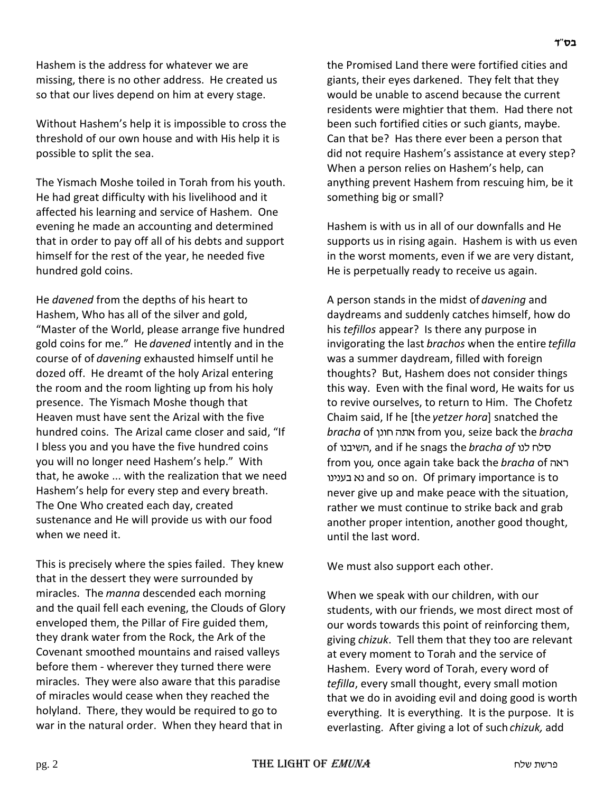Hashem is the address for whatever we are missing, there is no other address. He created us so that our lives depend on him at every stage.

Without Hashem's help it is impossible to cross the threshold of our own house and with His help it is possible to split the sea.

The Yismach Moshe toiled in Torah from his youth. He had great difficulty with his livelihood and it affected his learning and service of Hashem. One evening he made an accounting and determined that in order to pay off all of his debts and support himself for the rest of the year, he needed five hundred gold coins.

He *davened* from the depths of his heart to Hashem, Who has all of the silver and gold, "Master of the World, please arrange five hundred gold coins for me." He *davened* intently and in the course of of *davening* exhausted himself until he dozed off. He dreamt of the holy Arizal entering the room and the room lighting up from his holy presence. The Yismach Moshe though that Heaven must have sent the Arizal with the five hundred coins. The Arizal came closer and said, "If I bless you and you have the five hundred coins you will no longer need Hashem's help." With that, he awoke ... with the realization that we need Hashem's help for every step and every breath. The One Who created each day, created sustenance and He will provide us with our food when we need it.

This is precisely where the spies failed. They knew that in the dessert they were surrounded by miracles. The *manna* descended each morning and the quail fell each evening, the Clouds of Glory enveloped them, the Pillar of Fire guided them, they drank water from the Rock, the Ark of the Covenant smoothed mountains and raised valleys before them - wherever they turned there were miracles. They were also aware that this paradise of miracles would cease when they reached the holyland. There, they would be required to go to war in the natural order. When they heard that in

the Promised Land there were fortified cities and giants, their eyes darkened. They felt that they would be unable to ascend because the current residents were mightier that them. Had there not been such fortified cities or such giants, maybe. Can that be? Has there ever been a person that did not require Hashem's assistance at every step? When a person relies on Hashem's help, can anything prevent Hashem from rescuing him, be it something big or small?

Hashem is with us in all of our downfalls and He supports us in rising again. Hashem is with us even in the worst moments, even if we are very distant, He is perpetually ready to receive us again.

A person stands in the midst of *davening* and daydreams and suddenly catches himself, how do his *tefillos* appear? Is there any purpose in invigorating the last *brachos* when the entire *tefilla* was a summer daydream, filled with foreign thoughts? But, Hashem does not consider things this way. Even with the final word, He waits for us to revive ourselves, to return to Him. The Chofetz Chaim said, If he [the *yetzer hora*] snatched the *bracha* of ibuj v,t from you, seize back the *bracha* of השיבנו, and if he snags the *bracha of* השיבנו from you, once again take back the *bracha* of ראה ubhbgc tb and so on. Of primary importance is to never give up and make peace with the situation, rather we must continue to strike back and grab another proper intention, another good thought, until the last word.

We must also support each other.

When we speak with our children, with our students, with our friends, we most direct most of our words towards this point of reinforcing them, giving *chizuk*. Tell them that they too are relevant at every moment to Torah and the service of Hashem. Every word of Torah, every word of *tefilla*, every small thought, every small motion that we do in avoiding evil and doing good is worth everything. It is everything. It is the purpose. It is everlasting. After giving a lot of such *chizuk,* add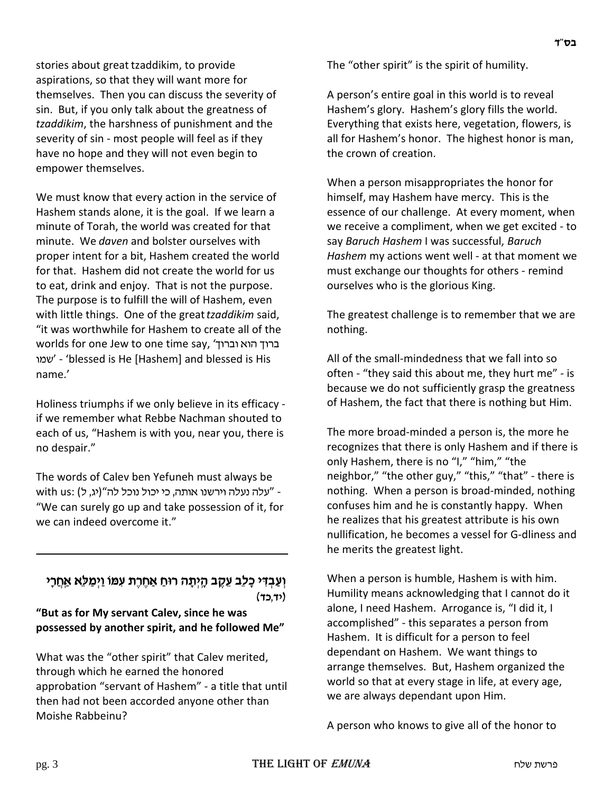stories about great tzaddikim, to provide aspirations, so that they will want more for themselves. Then you can discuss the severity of sin. But, if you only talk about the greatness of *tzaddikim*, the harshness of punishment and the severity of sin - most people will feel as if they have no hope and they will not even begin to empower themselves.

We must know that every action in the service of Hashem stands alone, it is the goal. If we learn a minute of Torah, the world was created for that minute. We *daven* and bolster ourselves with proper intent for a bit, Hashem created the world for that. Hashem did not create the world for us to eat, drink and enjoy. That is not the purpose. The purpose is to fulfill the will of Hashem, even with little things. One of the great *tzaddikim* said, "it was worthwhile for Hashem to create all of the worlds for one Jew to one time say, 'ברוך הוא וברוך una' - 'blessed is He [Hashem] and blessed is His name.'

Holiness triumphs if we only believe in its efficacy if we remember what Rebbe Nachman shouted to each of us, "Hashem is with you, near you, there is no despair."

The words of Calev ben Yefuneh must always be with us: (יג, ל) אנלה וירשנו אותה, כי יכול נוכל לה"(יג, ל) "We can surely go up and take possession of it, for we can indeed overcome it."

## וְעַבְדִּי כָלֶב עֵקֶב הָיִתָ*ּה רוּחַ אַחֵרֵת עִמּוֹ וַיִּמַלְּא אַח*ֲרָי **(sf'sh)**

#### **"But as for My servant Calev, since he was possessed by another spirit, and he followed Me"**

What was the "other spirit" that Calev merited, through which he earned the honored approbation "servant of Hashem" - a title that until then had not been accorded anyone other than Moishe Rabbeinu?

The "other spirit" is the spirit of humility.

A person's entire goal in this world is to reveal Hashem's glory. Hashem's glory fills the world. Everything that exists here, vegetation, flowers, is all for Hashem's honor. The highest honor is man, the crown of creation.

When a person misappropriates the honor for himself, may Hashem have mercy. This is the essence of our challenge. At every moment, when we receive a compliment, when we get excited - to say *Baruch Hashem* I was successful, *Baruch Hashem* my actions went well - at that moment we must exchange our thoughts for others - remind ourselves who is the glorious King.

The greatest challenge is to remember that we are nothing.

All of the small-mindedness that we fall into so often - "they said this about me, they hurt me" - is because we do not sufficiently grasp the greatness of Hashem, the fact that there is nothing but Him.

The more broad-minded a person is, the more he recognizes that there is only Hashem and if there is only Hashem, there is no "I," "him," "the neighbor," "the other guy," "this," "that" - there is nothing. When a person is broad-minded, nothing confuses him and he is constantly happy. When he realizes that his greatest attribute is his own nullification, he becomes a vessel for G-dliness and he merits the greatest light.

When a person is humble, Hashem is with him. Humility means acknowledging that I cannot do it alone, I need Hashem. Arrogance is, "I did it, I accomplished" - this separates a person from Hashem. It is difficult for a person to feel dependant on Hashem. We want things to arrange themselves. But, Hashem organized the world so that at every stage in life, at every age, we are always dependant upon Him.

A person who knows to give all of the honor to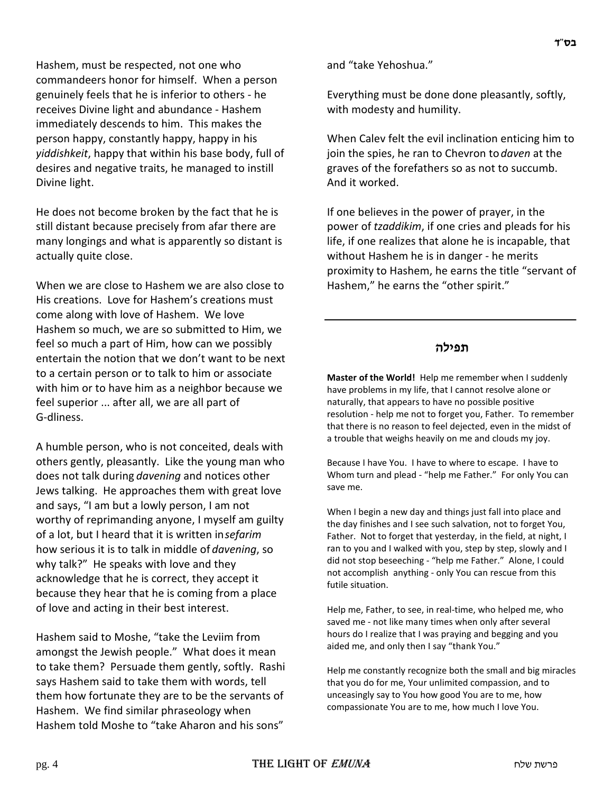Hashem, must be respected, not one who commandeers honor for himself. When a person genuinely feels that he is inferior to others - he receives Divine light and abundance - Hashem immediately descends to him. This makes the person happy, constantly happy, happy in his *yiddishkeit*, happy that within his base body, full of desires and negative traits, he managed to instill Divine light.

He does not become broken by the fact that he is still distant because precisely from afar there are many longings and what is apparently so distant is actually quite close.

When we are close to Hashem we are also close to His creations. Love for Hashem's creations must come along with love of Hashem. We love Hashem so much, we are so submitted to Him, we feel so much a part of Him, how can we possibly entertain the notion that we don't want to be next to a certain person or to talk to him or associate with him or to have him as a neighbor because we feel superior ... after all, we are all part of G-dliness.

A humble person, who is not conceited, deals with others gently, pleasantly. Like the young man who does not talk during *davening* and notices other Jews talking. He approaches them with great love and says, "I am but a lowly person, I am not worthy of reprimanding anyone, I myself am guilty of a lot, but I heard that it is written in *sefarim* how serious it is to talk in middle of *davening*, so why talk?" He speaks with love and they acknowledge that he is correct, they accept it because they hear that he is coming from a place of love and acting in their best interest.

Hashem said to Moshe, "take the Leviim from amongst the Jewish people." What does it mean to take them? Persuade them gently, softly. Rashi says Hashem said to take them with words, tell them how fortunate they are to be the servants of Hashem. We find similar phraseology when Hashem told Moshe to "take Aharon and his sons"

and "take Yehoshua."

Everything must be done done pleasantly, softly, with modesty and humility.

When Calev felt the evil inclination enticing him to join the spies, he ran to Chevron to *daven* at the graves of the forefathers so as not to succumb. And it worked.

If one believes in the power of prayer, in the power of *tzaddikim*, if one cries and pleads for his life, if one realizes that alone he is incapable, that without Hashem he is in danger - he merits proximity to Hashem, he earns the title "servant of Hashem," he earns the "other spirit."

#### **תפילה**

**Master of the World!** Help me remember when I suddenly have problems in my life, that I cannot resolve alone or naturally, that appears to have no possible positive resolution - help me not to forget you, Father. To remember that there is no reason to feel dejected, even in the midst of a trouble that weighs heavily on me and clouds my joy.

Because I have You. I have to where to escape. I have to Whom turn and plead - "help me Father." For only You can save me.

When I begin a new day and things just fall into place and the day finishes and I see such salvation, not to forget You, Father. Not to forget that yesterday, in the field, at night, I ran to you and I walked with you, step by step, slowly and I did not stop beseeching - "help me Father." Alone, I could not accomplish anything - only You can rescue from this futile situation.

Help me, Father, to see, in real-time, who helped me, who saved me - not like many times when only after several hours do I realize that I was praying and begging and you aided me, and only then I say "thank You."

Help me constantly recognize both the small and big miracles that you do for me, Your unlimited compassion, and to unceasingly say to You how good You are to me, how compassionate You are to me, how much I love You.